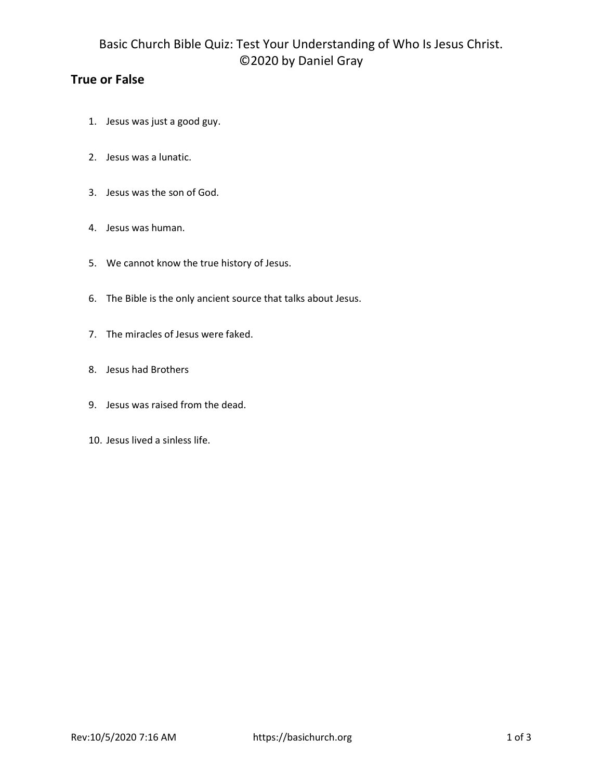# Basic Church Bible Quiz: Test Your Understanding of Who Is Jesus Christ. ©2020 by Daniel Gray

## True or False

- 1. Jesus was just a good guy.
- 2. Jesus was a lunatic.
- 3. Jesus was the son of God.
- 4. Jesus was human.
- 5. We cannot know the true history of Jesus.
- 6. The Bible is the only ancient source that talks about Jesus.
- 7. The miracles of Jesus were faked.
- 8. Jesus had Brothers
- 9. Jesus was raised from the dead.
- 10. Jesus lived a sinless life.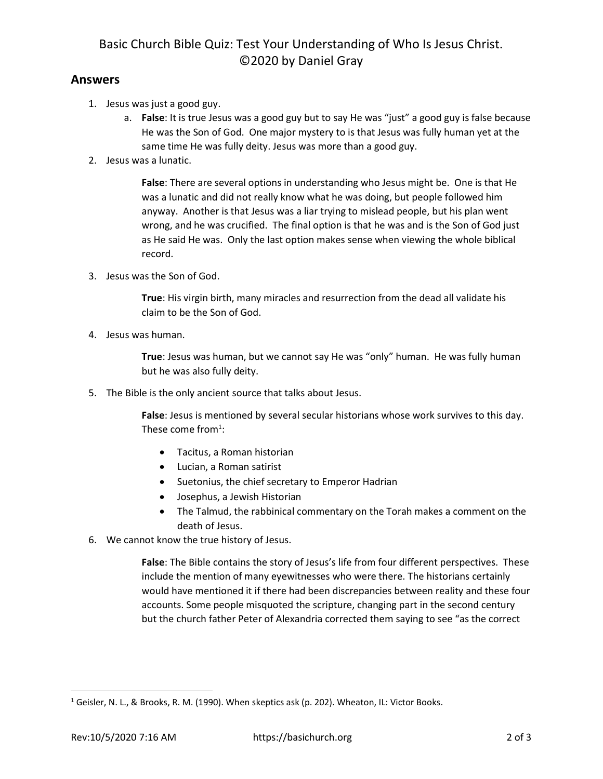## Basic Church Bible Quiz: Test Your Understanding of Who Is Jesus Christ. ©2020 by Daniel Gray

#### Answers

- 1. Jesus was just a good guy.
	- a. False: It is true Jesus was a good guy but to say He was "just" a good guy is false because He was the Son of God. One major mystery to is that Jesus was fully human yet at the same time He was fully deity. Jesus was more than a good guy.
- 2. Jesus was a lunatic.

False: There are several options in understanding who Jesus might be. One is that He was a lunatic and did not really know what he was doing, but people followed him anyway. Another is that Jesus was a liar trying to mislead people, but his plan went wrong, and he was crucified. The final option is that he was and is the Son of God just as He said He was. Only the last option makes sense when viewing the whole biblical record.

3. Jesus was the Son of God.

True: His virgin birth, many miracles and resurrection from the dead all validate his claim to be the Son of God.

4. Jesus was human.

True: Jesus was human, but we cannot say He was "only" human. He was fully human but he was also fully deity.

5. The Bible is the only ancient source that talks about Jesus.

False: Jesus is mentioned by several secular historians whose work survives to this day. These come from $^1$ :

- Tacitus, a Roman historian
- Lucian, a Roman satirist
- Suetonius, the chief secretary to Emperor Hadrian
- Josephus, a Jewish Historian
- The Talmud, the rabbinical commentary on the Torah makes a comment on the death of Jesus.
- 6. We cannot know the true history of Jesus.

False: The Bible contains the story of Jesus's life from four different perspectives. These include the mention of many eyewitnesses who were there. The historians certainly would have mentioned it if there had been discrepancies between reality and these four accounts. Some people misquoted the scripture, changing part in the second century but the church father Peter of Alexandria corrected them saying to see "as the correct

<sup>1</sup> Geisler, N. L., & Brooks, R. M. (1990). When skeptics ask (p. 202). Wheaton, IL: Victor Books.